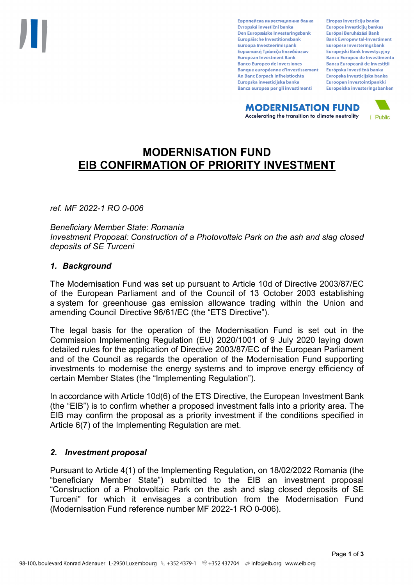Европейска инвестиционна банка Evropská investiční banka Den Europæiske Investeringsbank Europäische Investitionsbank Euroopa Investeerimispank Ευρωπαϊκή Τράπεζα Επενδύσεων **European Investment Bank Banco Europeo de Inversiones Banque européenne d'investissement** An Banc Eorpach Infheistíochta Europska investicijska banka Banca europea per gli investimenti

Eiropas Investīciju banka Europos investicijų bankas Európai Beruházási Bank **Bank Ewropew tal-Investiment** Europese Investeringsbank **Europeiski Bank Inwestycviny Banco Europeu de Investimento Banca Europeană de Investiții** Európska investičná banka Evropska investicijska banka Euroopan investointipankki Europeiska investeringsbanken

**MODERNISATION FUND** Accelerating the transition to climate neutrality



# **MODERNISATION FUND EIB CONFIRMATION OF PRIORITY INVESTMENT**

*ref. MF 2022-1 RO 0-006*

*Beneficiary Member State: Romania Investment Proposal: Construction of a Photovoltaic Park on the ash and slag closed deposits of SE Turceni*

### *1. Background*

The Modernisation Fund was set up pursuant to Article 10d of Directive 2003/87/EC of the European Parliament and of the Council of 13 October 2003 establishing a system for greenhouse gas emission allowance trading within the Union and amending Council Directive 96/61/EC (the "ETS Directive").

The legal basis for the operation of the Modernisation Fund is set out in the Commission Implementing Regulation (EU) 2020/1001 of 9 July 2020 laying down detailed rules for the application of Directive 2003/87/EC of the European Parliament and of the Council as regards the operation of the Modernisation Fund supporting investments to modernise the energy systems and to improve energy efficiency of certain Member States (the "Implementing Regulation").

In accordance with Article 10d(6) of the ETS Directive, the European Investment Bank (the "EIB") is to confirm whether a proposed investment falls into a priority area. The EIB may confirm the proposal as a priority investment if the conditions specified in Article 6(7) of the Implementing Regulation are met.

### *2. Investment proposal*

Pursuant to Article 4(1) of the Implementing Regulation, on 18/02/2022 Romania (the "beneficiary Member State") submitted to the EIB an investment proposal "Construction of a Photovoltaic Park on the ash and slag closed deposits of SE Turceni" for which it envisages a contribution from the Modernisation Fund (Modernisation Fund reference number MF 2022-1 RO 0-006).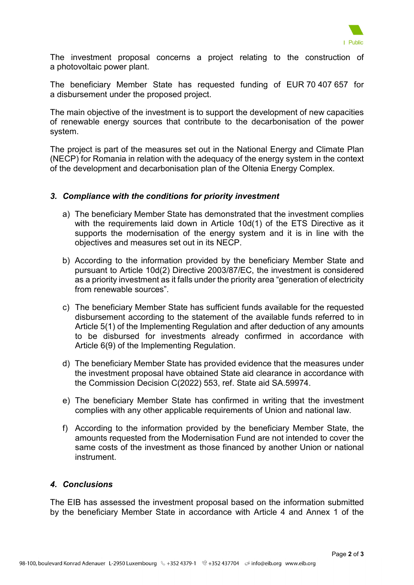

The investment proposal concerns a project relating to the construction of a photovoltaic power plant.

The beneficiary Member State has requested funding of EUR 70 407 657 for a disbursement under the proposed project.

The main objective of the investment is to support the development of new capacities of renewable energy sources that contribute to the decarbonisation of the power system.

The project is part of the measures set out in the National Energy and Climate Plan (NECP) for Romania in relation with the adequacy of the energy system in the context of the development and decarbonisation plan of the Oltenia Energy Complex.

### *3. Compliance with the conditions for priority investment*

- a) The beneficiary Member State has demonstrated that the investment complies with the requirements laid down in Article 10d(1) of the ETS Directive as it supports the modernisation of the energy system and it is in line with the objectives and measures set out in its NECP.
- b) According to the information provided by the beneficiary Member State and pursuant to Article 10d(2) Directive 2003/87/EC, the investment is considered as a priority investment as it falls under the priority area "generation of electricity from renewable sources".
- c) The beneficiary Member State has sufficient funds available for the requested disbursement according to the statement of the available funds referred to in Article 5(1) of the Implementing Regulation and after deduction of any amounts to be disbursed for investments already confirmed in accordance with Article 6(9) of the Implementing Regulation.
- d) The beneficiary Member State has provided evidence that the measures under the investment proposal have obtained State aid clearance in accordance with the Commission Decision C(2022) 553, ref. State aid SA.59974.
- e) The beneficiary Member State has confirmed in writing that the investment complies with any other applicable requirements of Union and national law.
- f) According to the information provided by the beneficiary Member State, the amounts requested from the Modernisation Fund are not intended to cover the same costs of the investment as those financed by another Union or national instrument.

## *4. Conclusions*

The EIB has assessed the investment proposal based on the information submitted by the beneficiary Member State in accordance with Article 4 and Annex 1 of the